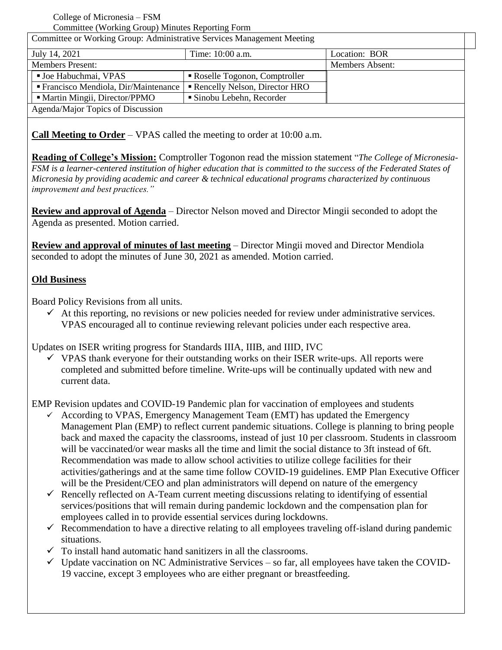#### College of Micronesia – FSM Committee (Working Group) Minutes Reporting Form

| Committee or Working Group: Administrative Services Management Meeting |                                |                        |
|------------------------------------------------------------------------|--------------------------------|------------------------|
| July 14, 2021                                                          | Time: 10:00 a.m.               | Location: BOR          |
| <b>Members Present:</b>                                                |                                | <b>Members Absent:</b> |
| <b>Joe Habuchmai, VPAS</b>                                             | • Roselle Togonon, Comptroller |                        |
| ■ Francisco Mendiola, Dir/Maintenance                                  | Rencelly Nelson, Director HRO  |                        |
| • Martin Mingii, Director/PPMO                                         | Sinobu Lebehn, Recorder        |                        |
| Agenda/Major Topics of Discussion                                      |                                |                        |

**Call Meeting to Order** – VPAS called the meeting to order at 10:00 a.m.

**Reading of College's Mission:** Comptroller Togonon read the mission statement "*The College of Micronesia-FSM is a learner-centered institution of higher education that is committed to the success of the Federated States of Micronesia by providing academic and career & technical educational programs characterized by continuous improvement and best practices."*

**Review and approval of Agenda** – Director Nelson moved and Director Mingii seconded to adopt the Agenda as presented. Motion carried.

**Review and approval of minutes of last meeting** – Director Mingii moved and Director Mendiola seconded to adopt the minutes of June 30, 2021 as amended. Motion carried.

#### **Old Business**

Board Policy Revisions from all units.

 $\checkmark$  At this reporting, no revisions or new policies needed for review under administrative services. VPAS encouraged all to continue reviewing relevant policies under each respective area.

Updates on ISER writing progress for Standards IIIA, IIIB, and IIID, IVC

 $\checkmark$  VPAS thank everyone for their outstanding works on their ISER write-ups. All reports were completed and submitted before timeline. Write-ups will be continually updated with new and current data.

EMP Revision updates and COVID-19 Pandemic plan for vaccination of employees and students

- According to VPAS, Emergency Management Team (EMT) has updated the Emergency Management Plan (EMP) to reflect current pandemic situations. College is planning to bring people back and maxed the capacity the classrooms, instead of just 10 per classroom. Students in classroom will be vaccinated/or wear masks all the time and limit the social distance to 3ft instead of 6ft. Recommendation was made to allow school activities to utilize college facilities for their activities/gatherings and at the same time follow COVID-19 guidelines. EMP Plan Executive Officer will be the President/CEO and plan administrators will depend on nature of the emergency
- $\checkmark$  Rencelly reflected on A-Team current meeting discussions relating to identifying of essential services/positions that will remain during pandemic lockdown and the compensation plan for employees called in to provide essential services during lockdowns.
- $\checkmark$  Recommendation to have a directive relating to all employees traveling off-island during pandemic situations.
- $\checkmark$  To install hand automatic hand sanitizers in all the classrooms.
- $\checkmark$  Update vaccination on NC Administrative Services so far, all employees have taken the COVID-19 vaccine, except 3 employees who are either pregnant or breastfeeding.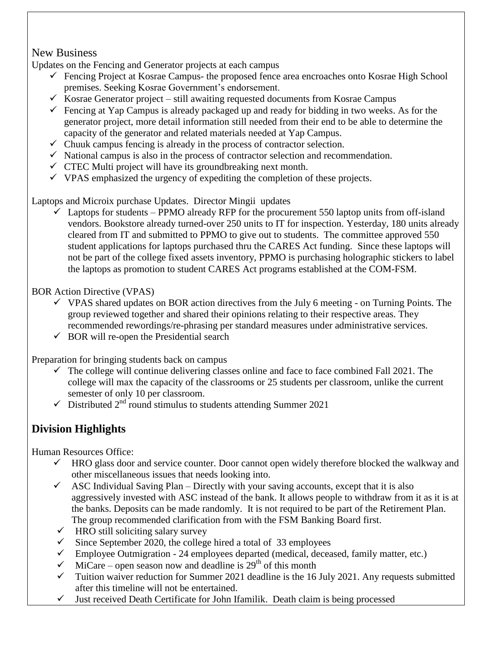## New Business

Updates on the Fencing and Generator projects at each campus

- $\checkmark$  Fencing Project at Kosrae Campus- the proposed fence area encroaches onto Kosrae High School premises. Seeking Kosrae Government's endorsement.
- $\checkmark$  Kosrae Generator project still awaiting requested documents from Kosrae Campus
- Fencing at Yap Campus is already packaged up and ready for bidding in two weeks. As for the generator project, more detail information still needed from their end to be able to determine the capacity of the generator and related materials needed at Yap Campus.
- $\checkmark$  Chuuk campus fencing is already in the process of contractor selection.
- $\checkmark$  National campus is also in the process of contractor selection and recommendation.
- $\checkmark$  CTEC Multi project will have its groundbreaking next month.
- $\checkmark$  VPAS emphasized the urgency of expediting the completion of these projects.

Laptops and Microix purchase Updates. Director Mingii updates

 $\checkmark$  Laptops for students – PPMO already RFP for the procurement 550 laptop units from off-island vendors. Bookstore already turned-over 250 units to IT for inspection. Yesterday, 180 units already cleared from IT and submitted to PPMO to give out to students. The committee approved 550 student applications for laptops purchased thru the CARES Act funding. Since these laptops will not be part of the college fixed assets inventory, PPMO is purchasing holographic stickers to label the laptops as promotion to student CARES Act programs established at the COM-FSM.

BOR Action Directive (VPAS)

- $\checkmark$  VPAS shared updates on BOR action directives from the July 6 meeting on Turning Points. The group reviewed together and shared their opinions relating to their respective areas. They recommended rewordings/re-phrasing per standard measures under administrative services.
- $\checkmark$  BOR will re-open the Presidential search

Preparation for bringing students back on campus

- $\checkmark$  The college will continue delivering classes online and face to face combined Fall 2021. The college will max the capacity of the classrooms or 25 students per classroom, unlike the current semester of only 10 per classroom.
- $\checkmark$  Distributed 2<sup>nd</sup> round stimulus to students attending Summer 2021

# **Division Highlights**

Human Resources Office:

- $\checkmark$  HRO glass door and service counter. Door cannot open widely therefore blocked the walkway and other miscellaneous issues that needs looking into.
- $\checkmark$  ASC Individual Saving Plan Directly with your saving accounts, except that it is also aggressively invested with ASC instead of the bank. It allows people to withdraw from it as it is at the banks. Deposits can be made randomly. It is not required to be part of the Retirement Plan. The group recommended clarification from with the FSM Banking Board first.
- $\checkmark$  HRO still soliciting salary survey
- $\checkmark$  Since September 2020, the college hired a total of 33 employees
- $\checkmark$  Employee Outmigration 24 employees departed (medical, deceased, family matter, etc.)
- $\checkmark$  MiCare open season now and deadline is 29<sup>th</sup> of this month
- $\checkmark$  Tuition waiver reduction for Summer 2021 deadline is the 16 July 2021. Any requests submitted after this timeline will not be entertained.
- $\checkmark$  Just received Death Certificate for John Ifamilik. Death claim is being processed